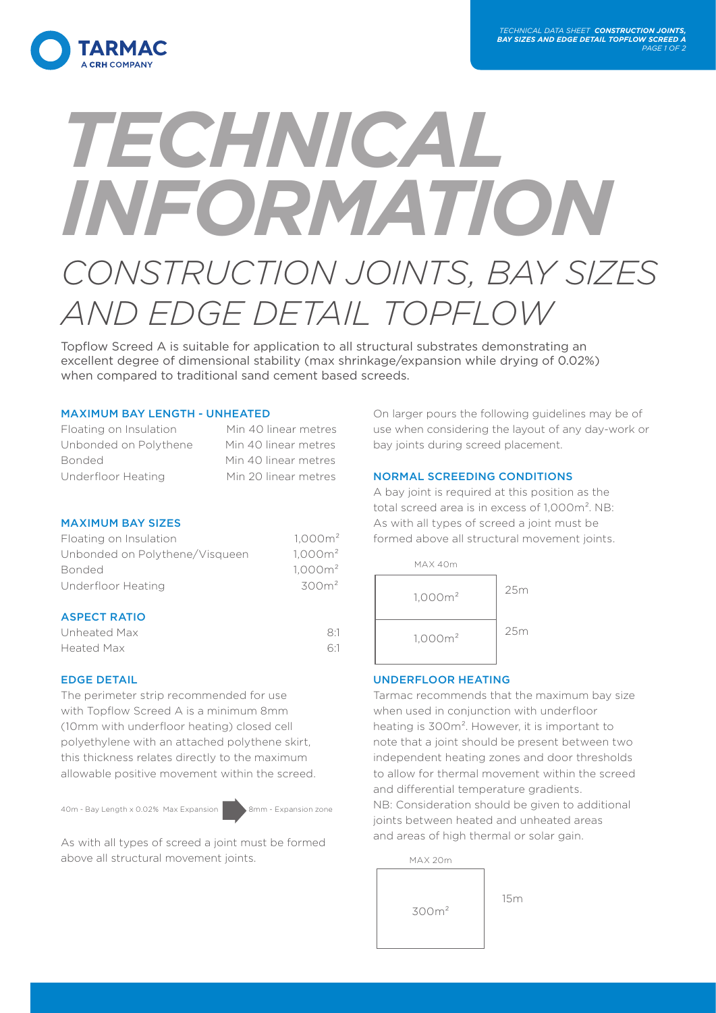

# *TECHNICAL INFORMATION CONSTRUCTION JOINTS, BAY SIZES AND EDGE DETAIL TOPFLOW*

Topflow Screed A is suitable for application to all structural substrates demonstrating an excellent degree of dimensional stability (max shrinkage/expansion while drying of 0.02%) when compared to traditional sand cement based screeds.

# MAXIMUM BAY LENGTH - UNHEATED

| Floating on Insulation | Min 40 linear metres |
|------------------------|----------------------|
| Unbonded on Polythene  | Min 40 linear metres |
| <b>Bonded</b>          | Min 40 linear metres |
| Underfloor Heating     | Min 20 linear metres |

## MAXIMUM BAY SIZES

| Floating on Insulation         | $1,000m^2$          |
|--------------------------------|---------------------|
| Unbonded on Polythene/Visqueen | 1.000m <sup>2</sup> |
| <b>Bonded</b>                  | 1.000m <sup>2</sup> |
| Underfloor Heating             | 300m <sup>2</sup>   |
|                                |                     |

## ASPECT PATIO

| Unheated Max | 8:1 |
|--------------|-----|
| Heated Max   | 6:1 |

# EDGE DETAIL

The perimeter strip recommended for use with Topflow Screed A is a minimum 8mm (10mm with underfloor heating) closed cell polyethylene with an attached polythene skirt, this thickness relates directly to the maximum allowable positive movement within the screed.

40m - Bay Length x 0.02% Max Expansion 8mm - Expansion zone

As with all types of screed a joint must be formed above all structural movement joints.

On larger pours the following guidelines may be of use when considering the layout of any day-work or bay joints during screed placement.

## NORMAL SCREEDING CONDITIONS

A bay joint is required at this position as the total screed area is in excess of 1,000m². NB: As with all types of screed a joint must be formed above all structural movement joints.



# UNDERFLOOR HEATING

Tarmac recommends that the maximum bay size when used in conjunction with underfloor heating is 300m². However, it is important to note that a joint should be present between two independent heating zones and door thresholds to allow for thermal movement within the screed and differential temperature gradients. NB: Consideration should be given to additional joints between heated and unheated areas and areas of high thermal or solar gain.